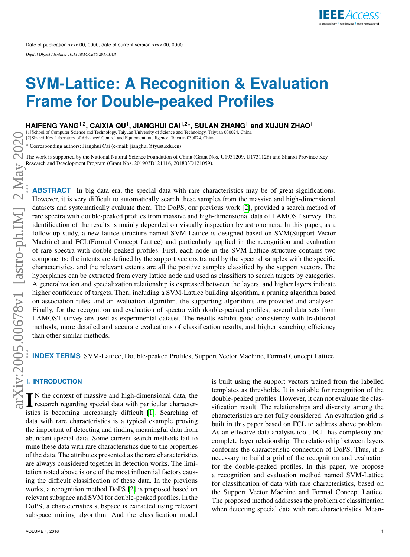# <span id="page-0-0"></span>**SVM-Lattice: A Recognition & Evaluation Frame for Double-peaked Profiles**

**HAIFENG YANG1,2, CAIXIA QU<sup>1</sup> , JIANGHUI CAI1,2\*, SULAN ZHANG<sup>1</sup> and XUJUN ZHAO<sup>1</sup>**

[1]School of Computer Science and Technology, Taiyuan University of Science and Technology, Taiyuan 030024, China [2]Shanxi Key Laboratory of Advanced Control and Equipment intelligence, Taiyuan 030024, China

\* Corresponding authors: Jianghui Cai (e-mail: jianghui@tyust.edu.cn)

The work is supported by the National Natural Science Foundation of China (Grant Nos. U1931209, U1731126) and Shanxi Province Key Research and Development Program (Grant Nos. 201903D121116, 201803D121059).

**ABSTRACT** In big data era, the special data with rare characteristics may be of great significations. However, it is very difficult to automatically search these samples from the massive and high-dimensional datasets and systematically evaluate them. The DoPS, our previous work [\[2\]](#page-16-0), provided a search method of rare spectra with double-peaked profiles from massive and high-dimensional data of LAMOST survey. The identification of the results is mainly depended on visually inspection by astronomers. In this paper, as a follow-up study, a new lattice structure named SVM-Lattice is designed based on SVM(Support Vector Machine) and FCL(Formal Concept Lattice) and particularly applied in the recognition and evaluation of rare spectra with double-peaked profiles. First, each node in the SVM-Lattice structure contains two components: the intents are defined by the support vectors trained by the spectral samples with the specific characteristics, and the relevant extents are all the positive samples classified by the support vectors. The hyperplanes can be extracted from every lattice node and used as classifiers to search targets by categories. A generalization and specialization relationship is expressed between the layers, and higher layers indicate higher confidence of targets. Then, including a SVM-Lattice building algorithm, a pruning algorithm based on association rules, and an evaluation algorithm, the supporting algorithms are provided and analysed. Finally, for the recognition and evaluation of spectra with double-peaked profiles, several data sets from LAMOST survey are used as experimental dataset. The results exhibit good consistency with traditional methods, more detailed and accurate evaluations of classification results, and higher searching efficiency than other similar methods.

**INDEX TERMS** SVM-Lattice, Double-peaked Profiles, Support Vector Machine, Formal Concept Lattice.

# **I. INTRODUCTION**

I N the context of massive and high-dimensional data, the research regarding special data with particular characteristics is becoming increasingly difficult [\[1\]](#page-16-1). Searching of data with rare characteristics is a typical example proving the important of detecting and finding meaningful data from abundant special data. Some current search methods fail to mine these data with rare characteristics due to the properties of the data. The attributes presented as the rare characteristics are always considered together in detection works. The limitation noted above is one of the most influential factors causing the difficult classification of these data. In the previous works, a recognition method DoPS [\[2\]](#page-16-0) is proposed based on relevant subspace and SVM for double-peaked profiles. In the DoPS, a characteristics subspace is extracted using relevant subspace mining algorithm. And the classification model templates as thresholds. It is suitable for recognition of the double-peaked profiles. However, it can not evaluate the classification result. The relationships and diversity among the characteristics are not fully considered. An evaluation grid is built in this paper based on FCL to address above problem. As an effective data analysis tool, FCL has complexity and complete layer relationship. The relationship between layers conforms the characteristic connection of DoPS. Thus, it is necessary to build a grid of the recognition and evaluation for the double-peaked profiles. In this paper, we propose a recognition and evaluation method named SVM-Lattice for classification of data with rare characteristics, based on the Support Vector Machine and Formal Concept Lattice. The proposed method addresses the problem of classification when detecting special data with rare characteristics. Mean-

is built using the support vectors trained from the labelled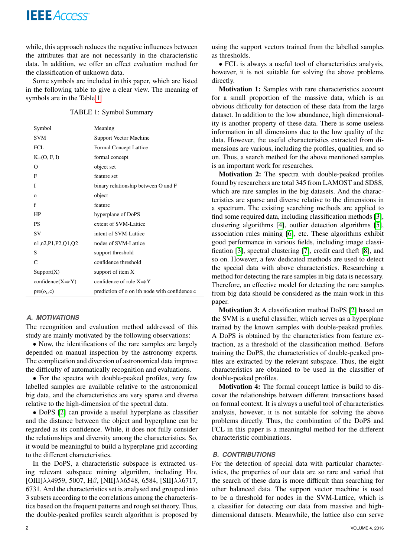while, this approach reduces the negative influences between the attributes that are not necessarily in the characteristic data. In addition, we offer an effect evaluation method for the classification of unknown data.

Some symbols are included in this paper, which are listed in the following table to give a clear view. The meaning of symbols are in the Table [1.](#page-1-0)

| TABLE 1: Symbol Summary |  |  |
|-------------------------|--|--|
|-------------------------|--|--|

<span id="page-1-0"></span>

| Symbol                        | Meaning                                       |
|-------------------------------|-----------------------------------------------|
| <b>SVM</b>                    | <b>Support Vector Machine</b>                 |
| FCL.                          | Formal Concept Lattice                        |
| $K=(O, F, I)$                 | formal concept                                |
| $\Omega$                      | object set                                    |
| F                             | feature set                                   |
| I                             | binary relationship between O and F           |
| $\mathbf{o}$                  | object                                        |
| f                             | feature                                       |
| HP                            | hyperplane of DoPS                            |
| <b>PS</b>                     | extent of SVM-Lattice                         |
| <b>SV</b>                     | intent of SVM-Lattice                         |
| n1,n2,P1,P2,Q1,Q2             | nodes of SVM-Lattice                          |
| S                             | support threshold                             |
| $\mathcal{C}$                 | confidence threshold                          |
| Support(X)                    | support of item X                             |
| $confidence(X \Rightarrow Y)$ | confidence of rule $X \Rightarrow Y$          |
| $pre(o_i,c)$                  | prediction of o on ith node with confidence c |

# *A. MOTIVATIONS*

The recognition and evaluation method addressed of this study are mainly motivated by the following observations:

• Now, the identifications of the rare samples are largely depended on manual inspection by the astronomy experts. The complication and diversion of astronomical data improve the difficulty of automatically recognition and evaluations.

• For the spectra with double-peaked profiles, very few labelled samples are available relative to the astronomical big data, and the characteristics are very sparse and diverse relative to the high-dimension of the spectral data.

• DoPS [\[2\]](#page-16-0) can provide a useful hyperplane as classifier and the distance between the object and hyperplane can be regarded as its confidence. While, it does not fully consider the relationships and diversity among the characteristics. So, it would be meaningful to build a hyperplane grid according to the different characteristics.

In the DoPS, a characteristic subspace is extracted using relevant subspace mining algorithm, including  $H\alpha$ , [OIII]λλ4959, 5007, Hβ, [NII]λλ6548, 6584, [SII]λλ6717, 6731. And the characteristics set is analysed and grouped into 3 subsets according to the correlations among the characteristics based on the frequent patterns and rough set theory. Thus, the double-peaked profiles search algorithm is proposed by using the support vectors trained from the labelled samples as thresholds.

• FCL is always a useful tool of characteristics analysis, however, it is not suitable for solving the above problems directly.

Motivation 1: Samples with rare characteristics account for a small proportion of the massive data, which is an obvious difficulty for detection of these data from the large dataset. In addition to the low abundance, high dimensionality is another property of these data. There is some useless information in all dimensions due to the low quality of the data. However, the useful characteristics extracted from dimensions are various, including the profiles, qualities, and so on. Thus, a search method for the above mentioned samples is an important work for researches.

Motivation 2: The spectra with double-peaked profiles found by researchers are total 345 from LAMOST and SDSS, which are rare samples in the big datasets. And the characteristics are sparse and diverse relative to the dimensions in a spectrum. The existing searching methods are applied to find some required data, including classification methods [\[3\]](#page-16-2), clustering algorithms [\[4\]](#page-16-3), outlier detection algorithms [\[5\]](#page-16-4), association rules mining [\[6\]](#page-16-5), etc. These algorithms exhibit good performance in various fields, including image classification [\[3\]](#page-16-2), spectral clustering [\[7\]](#page-17-0), credit card theft [\[8\]](#page-17-1), and so on. However, a few dedicated methods are used to detect the special data with above characteristics. Researching a method for detecting the rare samples in big data is necessary. Therefore, an effective model for detecting the rare samples from big data should be considered as the main work in this paper.

Motivation 3: A classification method DoPS [\[2\]](#page-16-0) based on the SVM is a useful classifier, which serves as a hyperplane trained by the known samples with double-peaked profiles. A DoPS is obtained by the characteristics from feature extraction, as a threshold of the classification method. Before training the DoPS, the characteristics of double-peaked profiles are extracted by the relevant subspace. Thus, the eight characteristics are obtained to be used in the classifier of double-peaked profiles.

Motivation 4: The formal concept lattice is build to discover the relationships between different transactions based on formal context. It is always a useful tool of characteristics analysis, however, it is not suitable for solving the above problems directly. Thus, the combination of the DoPS and FCL in this paper is a meaningful method for the different characteristic combinations.

# *B. CONTRIBUTIONS*

For the detection of special data with particular characteristics, the properties of our data are so rare and varied that the search of these data is more difficult than searching for other balanced data. The support vector machine is used to be a threshold for nodes in the SVM-Lattice, which is a classifier for detecting our data from massive and highdimensional datasets. Meanwhile, the lattice also can serve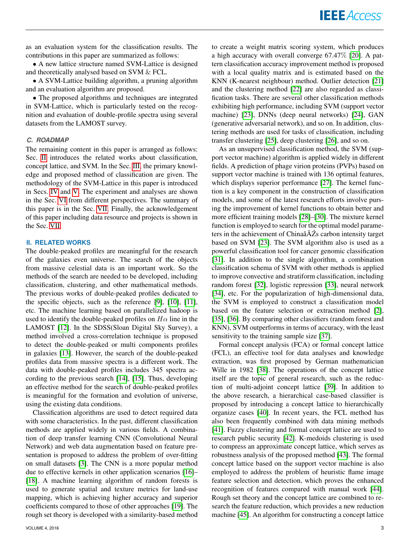as an evaluation system for the classification results. The contributions in this paper are summarized as follows:

• A new lattice structure named SVM-Lattice is designed and theoretically analysed based on SVM & FCL.

• A SVM-Lattice building algorithm, a pruning algorithm and an evaluation algorithm are proposed.

• The proposed algorithms and techniques are integrated in SVM-Lattice, which is particularly tested on the recognition and evaluation of double-profile spectra using several datasets from the LAMOST survey.

### *C. ROADMAP*

The remaining content in this paper is arranged as follows: Sec. [II](#page-2-0) introduces the related works about classification, concept lattice, and SVM. In the Sec. [III,](#page-3-0) the primary knowledge and proposed method of classification are given. The methodology of the SVM-Lattice in this paper is introduced in Secs. [IV](#page-4-0) and [V.](#page-7-0) The experiment and analyses are shown in the Sec. [VI](#page-9-0) from different perspectives. The summary of this paper is in the Sec. [VII.](#page-15-0) Finally, the acknowledgement of this paper including data resource and projects is shown in the Sec. [VII.](#page-0-0)

#### <span id="page-2-0"></span>**II. RELATED WORKS**

The double-peaked profiles are meaningful for the research of the galaxies even universe. The search of the objects from massive celestial data is an important work. So the methods of the search are needed to be developed, including classification, clustering, and other mathematical methods. The previous works of double-peaked profiles dedicated to the specific objects, such as the reference [\[9\]](#page-17-2), [\[10\]](#page-17-3), [\[11\]](#page-17-4), etc. The machine learning based on parallelized hadoop is used to identify the double-peaked profiles on  $H\alpha$  line in the LAMOST [\[12\]](#page-17-5). In the SDSS(Sloan Digital Sky Survey), a method involved a cross-correlation technique is proposed to detect the double-peaked or multi components profiles in galaxies [\[13\]](#page-17-6). However, the search of the double-peaked profiles data from massive spectra is a different work. The data with double-peaked profiles includes 345 spectra according to the previous search [\[14\]](#page-17-7), [\[15\]](#page-17-8). Thus, developing an effective method for the search of double-peaked profiles is meaningful for the formation and evolution of universe, using the existing data conditions.

Classification algorithms are used to detect required data with some characteristics. In the past, different classification methods are applied widely in various fields. A combination of deep transfer learning CNN (Convolutional Neural Network) and web data augmentation based on feature presentation is proposed to address the problem of over-fitting on small datasets [\[3\]](#page-16-2). The CNN is a more popular method due to effective kernels in other application scenarios [\[16\]](#page-17-9)– [\[18\]](#page-17-10). A machine learning algorithm of random forests is used to generate spatial and texture metrics for land-use mapping, which is achieving higher accuracy and superior coefficients compared to those of other approaches [\[19\]](#page-17-11). The rough set theory is developed with a similarity-based method to create a weight matrix scoring system, which produces a high accuracy with overall converge 67.47% [\[20\]](#page-17-12). A pattern classification accuracy improvement method is proposed with a local quality matrix and is estimated based on the KNN (K-nearest neighbour) method. Outlier detection [\[21\]](#page-17-13) and the clustering method [\[22\]](#page-17-14) are also regarded as classification tasks. There are several other classification methods exhibiting high performance, including SVM (support vector machine) [\[23\]](#page-17-15), DNNs (deep neural networks) [\[24\]](#page-17-16), GAN (generative adversarial network), and so on. In addition, clustering methods are used for tasks of classification, including transfer clustering [\[25\]](#page-17-17), deep clustering [\[26\]](#page-17-18), and so on.

As an unsupervised classification method, the SVM (support vector machine) algorithm is applied widely in different fields. A prediction of phage virion proteins (PVPs) based on support vector machine is trained with 136 optimal features, which displays superior performance [\[27\]](#page-17-19). The kernel function is a key component in the construction of classification models, and some of the latest research efforts involve pursing the improvement of kernel functions to obtain better and more efficient training models [\[28\]](#page-17-20)–[\[30\]](#page-17-21). The mixture kernel function is employed to search for the optimal model parameters in the achievement of Chinaâ $\tilde{A}\tilde{Z}$ s carbon intensity target based on SVM [\[23\]](#page-17-15). The SVM algorithm also is used as a powerful classification tool for cancer genomic classification [\[31\]](#page-17-22). In addition to the single algorithm, a combination classification schema of SVM with other methods is applied to improve convective and stratiform classification, including random forest [\[32\]](#page-17-23), logistic repression [\[33\]](#page-17-24), neural network [\[34\]](#page-17-25), etc. For the popularization of high-dimensional data, the SVM is employed to construct a classification model based on the feature selection or extraction method [\[2\]](#page-16-0), [\[35\]](#page-17-26), [\[36\]](#page-17-27). By comparing other classifiers (random forest and KNN), SVM outperforms in terms of accuracy, with the least sensitivity to the training sample size [\[37\]](#page-17-28).

Formal concept analysis (FCA) or formal concept lattice (FCL), an effective tool for data analyses and knowledge extraction, was first proposed by German mathematician Wille in 1982 [\[38\]](#page-17-29). The operations of the concept lattice itself are the topic of general research, such as the reduction of multi-adjoint concept lattice [\[39\]](#page-17-30). In addition to the above research, a hierarchical case-based classifier is proposed by introducing a concept lattice to hierarchically organize cases [\[40\]](#page-17-31). In recent years, the FCL method has also been frequently combined with data mining methods [\[41\]](#page-17-32). Fuzzy clustering and formal concept lattice are used to research public security [\[42\]](#page-17-33). K-medoids clustering is used to compress an approximate concept lattice, which serves as robustness analysis of the proposed method [\[43\]](#page-17-34). The formal concept lattice based on the support vector machine is also employed to address the problem of heuristic flame image feature selection and detection, which proves the enhanced recognition of features compared with manual work [\[44\]](#page-17-35). Rough set theory and the concept lattice are combined to research the feature reduction, which provides a new reduction machine [\[45\]](#page-17-36). An algorithm for constructing a concept lattice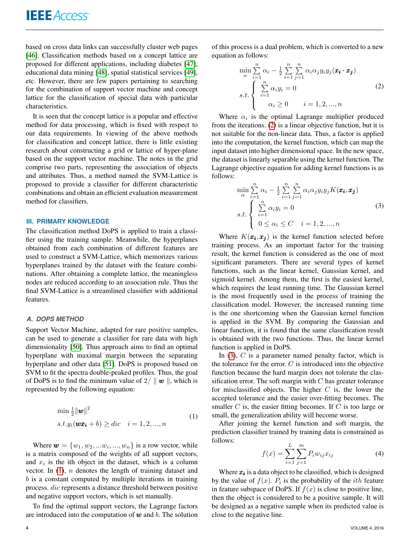based on cross data links can successfully cluster web pages [\[46\]](#page-17-37). Classification methods based on a concept lattice are proposed for different applications, including diabetes [\[47\]](#page-17-38), educational data mining [\[48\]](#page-17-39), spatial statistical services [\[49\]](#page-17-40), etc. However, there are few papers pertaining to searching for the combination of support vector machine and concept lattice for the classification of special data with particular characteristics.

It is seen that the concept lattice is a popular and effective method for data processing, which is fixed with respect to our data requirements. In viewing of the above methods for classification and concept lattice, there is little existing research about constructing a grid or lattice of hyper-plane based on the support vector machine. The notes in the grid comprise two parts, representing the association of objects and attributes. Thus, a method named the SVM-Lattice is proposed to provide a classifier for different characteristic combinations and obtain an efficient evaluation measurement method for classifiers.

# <span id="page-3-0"></span>**III. PRIMARY KNOWLEDGE**

The classification method DoPS is applied to train a classifier using the training sample. Meanwhile, the hyperplanes obtained from each combination of different features are used to construct a SVM-Lattice, which memorizes various hyperplanes trained by the dataset with the feature combinations. After obtaining a complete lattice, the meaningless nodes are reduced according to an association rule. Thus the final SVM-Lattice is a streamlined classifier with additional features.

#### *A. DOPS METHOD*

Support Vector Machine, adapted for rare positive samples, can be used to generate a classifier for rare data with high dimensionality [\[50\]](#page-18-0). Thus approach aims to find an optimal hyperplane with maximal margin between the separating hyperplane and other data [\[51\]](#page-18-1). DoPS is proposed based on SVM to fit the spectra double-peaked profiles. Thus, the goal of DoPS is to find the minimum value of  $2/\parallel w \parallel$ , which is represented by the following equation:

<span id="page-3-1"></span>
$$
\min \frac{1}{2} {\|\boldsymbol{w}\|}^2
$$
  
s.t. $y_i(\boldsymbol{w}\boldsymbol{x_i} + b) \geq dic \quad i = 1, 2, ..., n$  (1)

Where  $\mathbf{w} = \{w_1, w_2, \dots w_i, \dots, w_n\}$  is a row vector, while is a matrix composed of the weights of all support vectors, and  $x_i$  is the ith object in the dataset, which is a column vector. In  $(1)$ , *n* denotes the length of training dataset and  $b$  is a constant computed by multiple iterations in training process. dic represents a distance threshold between positive and negative support vectors, which is set manually.

To find the optimal support vectors, the Lagrange factors are introduced into the computation of  $w$  and  $b$ . The solution of this process is a dual problem, which is converted to a new equation as follows:

<span id="page-3-2"></span>
$$
\min_{\alpha} \sum_{i=1}^{n} \alpha_i - \frac{1}{2} \sum_{i=1}^{n} \sum_{j=1}^{n} \alpha_i \alpha_j y_i y_j (\boldsymbol{x}_i \cdot \boldsymbol{x}_j)
$$
\n
$$
s.t. \begin{cases} \sum_{i=1}^{n} \alpha_i y_i = 0 & (2) \\ \alpha_i \ge 0 & i = 1, 2, \dots, n \end{cases}
$$

Where  $\alpha_i$  is the optimal Lagrange multiplier produced from the iterations. [\(2\)](#page-3-2) is a linear objective function, but it is not suitable for the non-linear data. Thus, a factor is applied into the computation, the kernel function, which can map the input dataset into higher dimensional space. In the new space, the dataset is linearly separable using the kernel function. The Lagrange objective equation for adding kernel functions is as follows:

<span id="page-3-3"></span>
$$
\min_{\alpha} \sum_{i=1}^{n} \alpha_i - \frac{1}{2} \sum_{i=1}^{n} \sum_{j=1}^{n} \alpha_i \alpha_j y_i y_j K(\pmb{x_i}, \pmb{x_j})
$$
\n
$$
s.t. \begin{cases} \sum_{i=1}^{n} \alpha_i y_i = 0 & (3) \\ 0 \leq \alpha_i \leq C & i = 1, 2, \dots, n \end{cases}
$$

Where  $K(\mathbf{x_i}, \mathbf{x_j})$  is the kernel function selected before training process. As an important factor for the training result, the kernel function is considered as the one of most significant parameters. There are several types of kernel functions, such as the linear kernel, Gaussian kernel, and sigmoid kernel. Among them, the first is the easiest kernel, which requires the least running time. The Gaussian kernel is the most frequently used in the process of training the classification model. However, the increased running time is the one shortcoming when the Gaussian kernel function is applied in the SVM. By comparing the Gaussian and linear function, it is found that the same classification result is obtained with the two functions. Thus, the linear kernel function is applied in DoPS.

In  $(3)$ , C is a parameter named penalty factor, which is the tolerance for the error.  $C$  is introduced into the objective function because the hard margin does not tolerate the classification error. The soft margin with  $C$  has greater tolerance for misclassified objects. The higher  $C$  is, the lower the accepted tolerance and the easier over-fitting becomes. The smaller  $C$  is, the easier fitting becomes. If  $C$  is too large or small, the generalization ability will become worse.

After joining the kernel function and soft margin, the prediction classifier trained by training data is constrained as follows:

$$
f(x) = \sum_{i=1}^{L} \sum_{j=1}^{m} P_i w_{ij} x_{ij}
$$
 (4)

Where  $x_i$  is a data object to be classified, which is designed by the value of  $f(x)$ .  $P_i$  is the probability of the *ith* feature in feature subspace of DoPS. If  $f(x)$  is close to positive line, then the object is considered to be a positive sample. It will be designed as a negative sample when its predicted value is close to the negative line.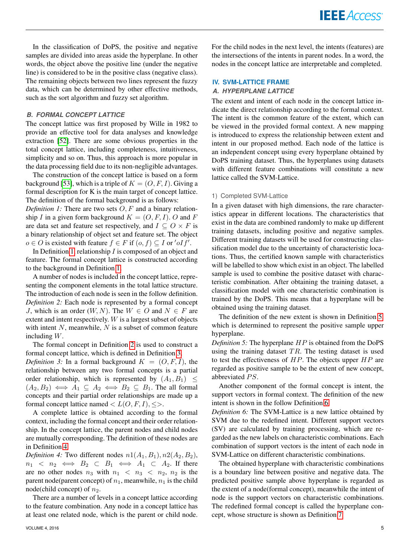In the classification of DoPS, the positive and negative samples are divided into areas aside the hyperplane. In other words, the object above the positive line (under the negative line) is considered to be in the positive class (negative class). The remaining objects between two lines represent the fuzzy data, which can be determined by other effective methods, such as the sort algorithm and fuzzy set algorithm.

#### *B. FORMAL CONCEPT LATTICE*

The concept lattice was first proposed by Wille in 1982 to provide an effective tool for data analyses and knowledge extraction [\[52\]](#page-18-2). There are some obvious properties in the total concept lattice, including completeness, intuitiveness, simplicity and so on. Thus, this approach is more popular in the data processing field due to its non-negligible advantages.

The construction of the concept lattice is based on a form background [\[53\]](#page-18-3), which is a triple of  $K = (O, F, I)$ . Giving a formal description for K is the main target of concept lattice. The definition of the formal background is as follows:

*Definition 1:* There are two sets  $O, F$  and a binary relationship I in a given form background  $K = (O, F, I)$ . O and F are data set and feature set respectively, and  $I \subseteq O \times F$  is a binary relationship of object set and feature set. The object  $o \in O$  is existed with feature  $f \in F$  if  $(o, f) \subseteq I$  or 'oIf'.

In Definition [1,](#page-4-1) relationship  $I$  is composed of an object and feature. The formal concept lattice is constructed according to the background in Definition [1.](#page-4-1)

A number of nodes is included in the concept lattice, representing the component elements in the total lattice structure. The introduction of each node is seen in the follow definition. *Definition 2:* Each node is represented by a formal concept J, which is an order  $(W, N)$ . The  $W \in O$  and  $N \in F$  are extent and intent respectively. W is a largest subset of objects with intent  $N$ , meanwhile,  $N$  is a subset of common feature including W.

The formal concept in Definition [2](#page-4-2) is used to construct a formal concept lattice, which is defined in Definition [3.](#page-4-3)

*Definition 3:* In a formal background  $K = (O, F, I)$ , the relationship between any two formal concepts is a partial order relationship, which is represented by  $(A_1, B_1) \leq$  $(A_2, B_2) \iff A_1 \subseteq A_2 \iff B_2 \subseteq B_1$ . The all formal concepts and their partial order relationships are made up a formal concept lattice named  $\langle L(O, F, I), \langle \rangle$ .

A complete lattice is obtained according to the formal context, including the formal concept and their order relationship. In the concept lattice, the parent nodes and child nodes are mutually corresponding. The definition of these nodes are in Definition [4.](#page-4-4)

<span id="page-4-4"></span>*Definition 4:* Two different nodes  $n1(A_1, B_1), n2(A_2, B_2)$ ,  $n_1 \leq n_2 \iff B_2 \subseteq B_1 \iff A_1 \subseteq A_2$ . If there are no other nodes  $n_3$  with  $n_1 < n_3 < n_2$ ,  $n_2$  is the parent node(parent concept) of  $n_1$ , meanwhile,  $n_1$  is the child node(child concept) of  $n_2$ .

There are a number of levels in a concept lattice according to the feature combination. Any node in a concept lattice has at least one related node, which is the parent or child node.

VOLUME 4, 2016 5

For the child nodes in the next level, the intents (features) are the intersections of the intents in parent nodes. In a word, the nodes in the concept lattice are interpretable and completed.

# <span id="page-4-0"></span>**IV. SVM-LATTICE FRAME**

# *A. HYPERPLANE LATTICE*

The extent and intent of each node in the concept lattice indicate the direct relationship according to the formal context. The intent is the common feature of the extent, which can be viewed in the provided formal context. A new mapping is introduced to express the relationship between extent and intent in our proposed method. Each node of the lattice is an independent concept using every hyperplane obtained by DoPS training dataset. Thus, the hyperplanes using datasets with different feature combinations will constitute a new lattice called the SVM-Lattice.

#### <span id="page-4-1"></span>1) Completed SVM-Lattice

In a given dataset with high dimensions, the rare characteristics appear in different locations. The characteristics that exist in the data are combined randomly to make up different training datasets, including positive and negative samples. Different training datasets will be used for constructing classification model due to the uncertainty of characteristic locations. Thus, the certified known sample with characteristics will be labelled to show which exist in an object. The labelled sample is used to combine the positive dataset with characteristic combination. After obtaining the training dataset, a classification model with one characteristic combination is trained by the DoPS. This means that a hyperplane will be obtained using the training dataset.

<span id="page-4-2"></span>The definition of the new extent is shown in Definition [5,](#page-4-5) which is determined to represent the positive sample upper hyperplane.

<span id="page-4-5"></span><span id="page-4-3"></span>*Definition 5:* The hyperplane HP is obtained from the DoPS using the training dataset  $TR$ . The testing dataset is used to test the effectiveness of  $HP$ . The objects upper  $HP$  are regarded as positive sample to be the extent of new concept, abbreviated PS.

Another component of the formal concept is intent, the support vectors in formal context. The definition of the new intent is shown in the follow Definition [6.](#page-4-6)

<span id="page-4-6"></span>*Definition 6:* The SVM-Lattice is a new lattice obtained by SVM due to the redefined intent. Different support vectors (SV) are calculated by training processing, which are regarded as the new labels on characteristic combinations. Each combination of support vectors is the intent of each node in SVM-Lattice on different characteristic combinations.

<span id="page-4-7"></span>The obtained hyperplane with characteristic combinations is a boundary line between positive and negative data. The predicted positive sample above hyperplane is regarded as the extent of a node(formal concept), meanwhile the intent of node is the support vectors on characteristic combinations. The redefined formal concept is called the hyperplane concept, whose structure is shown as Definition [7.](#page-4-7)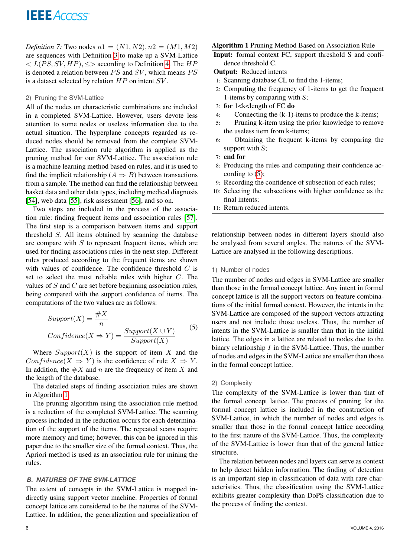*Definition 7:* Two nodes  $n1 = (N1, N2), n2 = (M1, M2)$ are sequences with Definition [3](#page-4-3) to make up a SVM-Lattice  $\langle L(PS, SV, HP), \leq \rangle$  according to Definition [4.](#page-4-4) The  $HP$ is denoted a relation between  $PS$  and  $SV$ , which means  $PS$ is a dataset selected by relation  $HP$  on intent  $SV$ .

# 2) Pruning the SVM-Lattice

All of the nodes on characteristic combinations are included in a completed SVM-Lattice. However, users devote less attention to some nodes or useless information due to the actual situation. The hyperplane concepts regarded as reduced nodes should be removed from the complete SVM-Lattice. The association rule algorithm is applied as the pruning method for our SVM-Lattice. The association rule is a machine learning method based on rules, and it is used to find the implicit relationship ( $A \Rightarrow B$ ) between transactions from a sample. The method can find the relationship between basket data and other data types, including medical diagnosis [\[54\]](#page-18-4), web data [\[55\]](#page-18-5), risk assessment [\[56\]](#page-18-6), and so on.

Two steps are included in the process of the association rule: finding frequent items and association rules [\[57\]](#page-18-7). The first step is a comparison between items and support threshold S. All items obtained by scanning the database are compare with  $S$  to represent frequent items, which are used for finding associations rules in the next step. Different rules produced according to the frequent items are shown with values of confidence. The confidence threshold  $C$  is set to select the most reliable rules with higher C. The values of  $S$  and  $C$  are set before beginning association rules, being compared with the support confidence of items. The computations of the two values are as follows:

<span id="page-5-1"></span>
$$
Support(X) = \frac{\#X}{n}
$$

$$
Confidence(X \Rightarrow Y) = \frac{Support(X \cup Y)}{Support(X)}
$$
(5)

Where  $Support(X)$  is the support of item X and the  $Confidence(X \Rightarrow Y)$  is the confidence of rule  $X \Rightarrow Y$ . In addition, the  $#X$  and n are the frequency of item X and the length of the database.

The detailed steps of finding association rules are shown in Algorithm [1.](#page-5-0)

The pruning algorithm using the association rule method is a reduction of the completed SVM-Lattice. The scanning process included in the reduction occurs for each determination of the support of the items. The repeated scans require more memory and time; however, this can be ignored in this paper due to the smaller size of the formal context. Thus, the Apriori method is used as an association rule for mining the rules.

# *B. NATURES OF THE SVM-LATTICE*

The extent of concepts in the SVM-Lattice is mapped indirectly using support vector machine. Properties of formal concept lattice are considered to be the natures of the SVM-Lattice. In addition, the generalization and specialization of

# Algorithm 1 Pruning Method Based on Association Rule

<span id="page-5-0"></span>Input: formal context FC, support threshold S and confidence threshold C.

Output: Reduced intents

- 1: Scanning database CL to find the 1-items;
- 2: Computing the frequency of 1-items to get the frequent 1-items by comparing with S;
- 3: for 1<k<length of FC do
- 4: Connecting the (k-1)-items to produce the k-items;
- 5: Pruning k-item using the prior knowledge to remove the useless item from k-items;
- 6: Obtaining the frequent k-items by comparing the support with S;
- 7: end for
- 8: Producing the rules and computing their confidence according to  $(5)$ ;
- 9: Recording the confidence of subsection of each rules;
- 10: Selecting the subsections with higher confidence as the final intents;
- 11: Return reduced intents.

relationship between nodes in different layers should also be analysed from several angles. The natures of the SVM-Lattice are analysed in the following descriptions.

#### 1) Number of nodes

The number of nodes and edges in SVM-Lattice are smaller than those in the formal concept lattice. Any intent in formal concept lattice is all the support vectors on feature combinations of the initial formal context. However, the intents in the SVM-Lattice are composed of the support vectors attracting users and not include those useless. Thus, the number of intents in the SVM-Lattice is smaller than that in the initial lattice. The edges in a lattice are related to nodes due to the binary relationship  $I$  in the SVM-Lattice. Thus, the number of nodes and edges in the SVM-Lattice are smaller than those in the formal concept lattice.

#### 2) Complexity

The complexity of the SVM-Lattice is lower than that of the formal concept lattice. The process of pruning for the formal concept lattice is included in the construction of SVM-Lattice, in which the number of nodes and edges is smaller than those in the formal concept lattice according to the first nature of the SVM-Lattice. Thus, the complexity of the SVM-Lattice is lower than that of the general lattice structure.

The relation between nodes and layers can serve as context to help detect hidden information. The finding of detection is an important step in classification of data with rare characteristics. Thus, the classification using the SVM-Lattice exhibits greater complexity than DoPS classification due to the process of finding the context.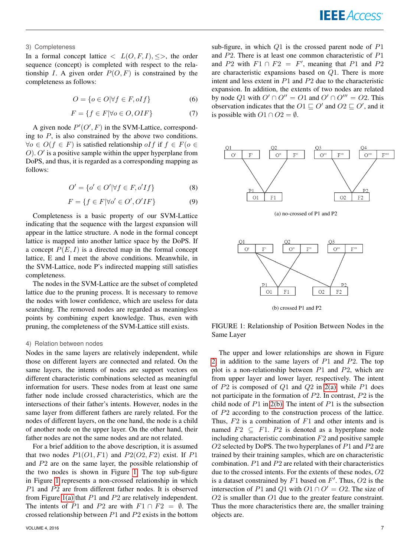# 3) Completeness

In a formal concept lattice  $\langle L(O, F, I), \leq \rangle$ , the order sequence (concept) is completed with respect to the relationship I. A given order  $P(O, F)$  is constrained by the completeness as follows:

$$
O = \{ o \in O | \forall f \in F, oIf \}
$$
 (6)

$$
F = \{ f \in F | \forall o \in O, OIF \}
$$
 (7)

A given node  $P'(O', F)$  in the SVM-Lattice, corresponding to  $P$ , is also constrained by the above two conditions.  $\forall o \in O(f \in F)$  is satisfied relationship of f if  $f \in F(o \in F)$  $O$ ).  $O'$  is a positive sample within the upper hyperplane from DoPS, and thus, it is regarded as a corresponding mapping as follows:

$$
O' = \{o' \in O' | \forall f \in F, o'If\}
$$
\n
$$
(8)
$$

$$
F = \{ f \in F | \forall o' \in O', O'IF \}
$$
\n<sup>(9)</sup>

Completeness is a basic property of our SVM-Lattice indicating that the sequence with the largest expansion will appear in the lattice structure. A node in the formal concept lattice is mapped into another lattice space by the DoPS. If a concept  $P(E, I)$  is a directed map in the formal concept lattice, E and I meet the above conditions. Meanwhile, in the SVM-Lattice, node P's indirected mapping still satisfies completeness.

The nodes in the SVM-Lattice are the subset of completed lattice due to the pruning process. It is necessary to remove the nodes with lower confidence, which are useless for data searching. The removed nodes are regarded as meaningless points by combining expert knowledge. Thus, even with pruning, the completeness of the SVM-Lattice still exists.

# 4) Relation between nodes

Nodes in the same layers are relatively independent, while those on different layers are connected and related. On the same layers, the intents of nodes are support vectors on different characteristic combinations selected as meaningful information for users. These nodes from at least one same father node include crossed characteristics, which are the intersections of their father's intents. However, nodes in the same layer from different fathers are rarely related. For the nodes of different layers, on the one hand, the node is a child of another node on the upper layer. On the other hand, their father nodes are not the same nodes and are not related.

For a brief addition to the above description, it is assumed that two nodes  $P1(O1, F1)$  and  $P2(O2, F2)$  exist. If  $P1$ and P2 are on the same layer, the possible relationship of the two nodes is shown in Figure [1.](#page-6-0) The top sub-figure in Figure [1](#page-6-0) represents a non-crossed relationship in which P1 and P2 are from different father nodes. It is observed from Figure [1\(a\)](#page-6-1) that  $P1$  and  $P2$  are relatively independent. The intents of P1 and P2 are with  $F1 \cap F2 = \emptyset$ . The crossed relationship between  $P1$  and  $P2$  exists in the bottom sub-figure, in which  $Q1$  is the crossed parent node of  $P1$ and P2. There is at least one common characteristic of P1 and P2 with  $F1 \cap F2 = F'$ , meaning that P1 and P2 are characteristic expansions based on Q1. There is more intent and less extent in  $P1$  and  $P2$  due to the characteristic expansion. In addition, the extents of two nodes are related by node Q1 with  $O' \cap O'' = O1$  and  $O' \cap O''' = O2$ . This observation indicates that the  $O1 \sqsubseteq O'$  and  $O2 \sqsubseteq O'$ , and it is possible with  $O1 \cap O2 = \emptyset$ .

<span id="page-6-1"></span>

<span id="page-6-0"></span>

FIGURE 1: Relationship of Position Between Nodes in the Same Layer

The upper and lower relationships are shown in Figure [2,](#page-7-1) in addition to the same layers of  $P1$  and  $P2$ . The top plot is a non-relationship between  $P1$  and  $P2$ , which are from upper layer and lower layer, respectively. The intent of  $P2$  is composed of  $Q1$  and  $Q2$  in  $2(a)$ , while  $P1$  does not participate in the formation of P2. In contrast, P2 is the child node of  $P1$  in [2\(b\).](#page-7-3) The intent of  $P1$  is the subsection of P2 according to the construction process of the lattice. Thus,  $F2$  is a combination of  $F1$  and other intents and is named  $F2 \subseteq F1$ .  $P2$  is denoted as a hyperplane node including characteristic combination  $F2$  and positive sample O2 selected by DoPS. The two hyperplanes of  $P1$  and  $P2$  are trained by their training samples, which are on characteristic combination.  $P1$  and  $P2$  are related with their characteristics due to the crossed intents. For the extents of these nodes, O2 is a dataset constrained by  $F1$  based on  $F'$ . Thus,  $O2$  is the intersection of P1 and Q1 with  $O1 \cap O' = O2$ . The size of O2 is smaller than O1 due to the greater feature constraint. Thus the more characteristics there are, the smaller training objects are.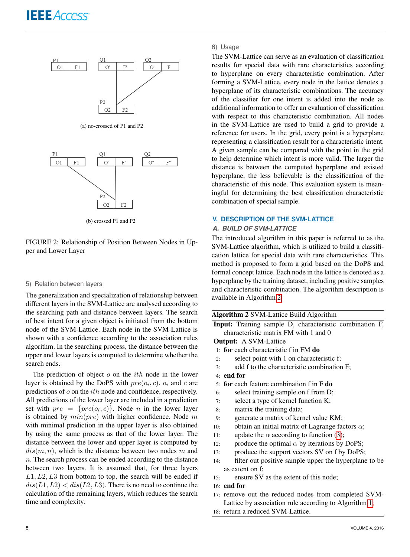<span id="page-7-2"></span>

(a) no-crossed of P1 and P2



(b) crossed P1 and P2

<span id="page-7-3"></span>FIGURE 2: Relationship of Position Between Nodes in Upper and Lower Layer

#### 5) Relation between layers

The generalization and specialization of relationship between different layers in the SVM-Lattice are analysed according to the searching path and distance between layers. The search of best intent for a given object is initiated from the bottom node of the SVM-Lattice. Each node in the SVM-Lattice is shown with a confidence according to the association rules algorithm. In the searching process, the distance between the upper and lower layers is computed to determine whether the search ends.

The prediction of object  $o$  on the *ith* node in the lower layer is obtained by the DoPS with  $pre(o_i, c)$ .  $o_i$  and c are predictions of o on the ith node and confidence, respectively. All predictions of the lower layer are included in a prediction set with  $pre = \{pre(o_i, c)\}\)$ . Node *n* in the lower layer is obtained by  $min(pre)$  with higher confidence. Node m with minimal prediction in the upper layer is also obtained by using the same process as that of the lower layer. The distance between the lower and upper layer is computed by  $dis(m, n)$ , which is the distance between two nodes m and  $n.$  The search process can be ended according to the distance between two layers. It is assumed that, for three layers  $L1, L2, L3$  from bottom to top, the search will be ended if  $dis(L1, L2) < dis(L2, L3)$ . There is no need to continue the calculation of the remaining layers, which reduces the search time and complexity.

# 6) Usage

The SVM-Lattice can serve as an evaluation of classification results for special data with rare characteristics according to hyperplane on every characteristic combination. After forming a SVM-Lattice, every node in the lattice denotes a hyperplane of its characteristic combinations. The accuracy of the classifier for one intent is added into the node as additional information to offer an evaluation of classification with respect to this characteristic combination. All nodes in the SVM-Lattice are used to build a grid to provide a reference for users. In the grid, every point is a hyperplane representing a classification result for a characteristic intent. A given sample can be compared with the point in the grid to help determine which intent is more valid. The larger the distance is between the computed hyperplane and existed hyperplane, the less believable is the classification of the characteristic of this node. This evaluation system is meaningful for determining the best classification characteristic combination of special sample.

# <span id="page-7-1"></span><span id="page-7-0"></span>**V. DESCRIPTION OF THE SVM-LATTICE**

# *A. BUILD OF SVM-LATTICE*

The introduced algorithm in this paper is referred to as the SVM-Lattice algorithm, which is utilized to build a classification lattice for special data with rare characteristics. This method is proposed to form a grid based on the DoPS and formal concept lattice. Each node in the lattice is denoted as a hyperplane by the training dataset, including positive samples and characteristic combination. The algorithm description is available in Algorithm [2.](#page-7-4)

|  |  |  | Algorithm 2 SVM-Lattice Build Algorithm |
|--|--|--|-----------------------------------------|
|--|--|--|-----------------------------------------|

<span id="page-7-4"></span>Input: Training sample D, characteristic combination F, characteristic matrix FM with 1 and 0

#### Output: A SVM-Lattice

- 1: for each characteristic f in FM do
- 2: select point with 1 on characteristic f;
- 3: add f to the characteristic combination F;
- 4: end for
- 5: for each feature combination f in F do
- 6: select training sample on f from D;
- 7: select a type of kernel function K;
- 8: matrix the training data;
- 9: generate a matrix of kernel value KM;
- 10: obtain an initial matrix of Lagrange factors  $\alpha$ ;
- 11: update the  $\alpha$  according to function [\(3\)](#page-4-3);
- 12: produce the optimal  $\alpha$  by iterations by DoPS;
- 13: produce the support vectors SV on f by DoPS;
- 14: filter out positive sample upper the hyperplane to be as extent on f;
- 15: ensure SV as the extent of this node;

# 16: end for

- 17: remove out the reduced nodes from completed SVM-Lattice by association rule according to Algorithm [1;](#page-5-0)
- 18: return a reduced SVM-Lattice.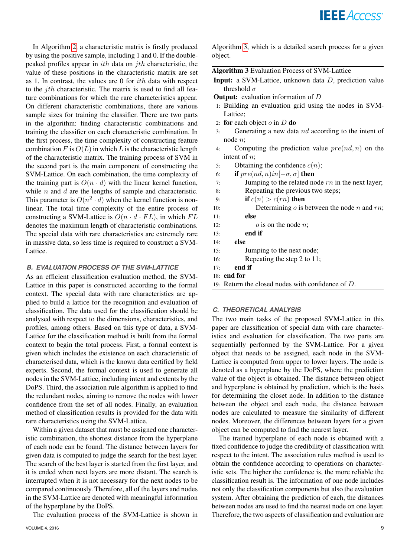In Algorithm [2,](#page-7-4) a characteristic matrix is firstly produced by using the positive sample, including 1 and 0. If the doublepeaked profiles appear in  $ith$  data on  $jth$  characteristic, the value of these positions in the characteristic matrix are set as 1. In contrast, the values are 0 for ith data with respect to the  $j$ th characteristic. The matrix is used to find all feature combinations for which the rare characteristics appear. On different characteristic combinations, there are various sample sizes for training the classifier. There are two parts in the algorithm: finding characteristic combinations and training the classifier on each characteristic combination. In the first process, the time complexity of constructing feature combination F is  $O(L)$  in which L is the characteristic length of the characteristic matrix. The training process of SVM in the second part is the main component of constructing the SVM-Lattice. On each combination, the time complexity of the training part is  $O(n \cdot d)$  with the linear kernel function, while  $n$  and  $d$  are the lengths of sample and characteristic. This parameter is  $O(n^2 \cdot d)$  when the kernel function is nonlinear. The total time complexity of the entire process of constructing a SVM-Lattice is  $O(n \cdot d \cdot FL)$ , in which  $FL$ denotes the maximum length of characteristic combinations. The special data with rare characteristics are extremely rare in massive data, so less time is required to construct a SVM-Lattice.

# *B. EVALUATION PROCESS OF THE SVM-LATTICE*

As an efficient classification evaluation method, the SVM-Lattice in this paper is constructed according to the formal context. The special data with rare characteristics are applied to build a lattice for the recognition and evaluation of classification. The data used for the classification should be analysed with respect to the dimensions, characteristics, and profiles, among others. Based on this type of data, a SVM-Lattice for the classification method is built from the formal context to begin the total process. First, a formal context is given which includes the existence on each characteristic of characterised data, which is the known data certified by field experts. Second, the formal context is used to generate all nodes in the SVM-Lattice, including intent and extents by the DoPS. Third, the association rule algorithm is applied to find the redundant nodes, aiming to remove the nodes with lower confidence from the set of all nodes. Finally, an evaluation method of classification results is provided for the data with rare characteristics using the SVM-Lattice.

Within a given dataset that must be assigned one characteristic combination, the shortest distance from the hyperplane of each node can be found. The distance between layers for given data is computed to judge the search for the best layer. The search of the best layer is started from the first layer, and it is ended when next layers are more distant. The search is interrupted when it is not necessary for the next nodes to be compared continuously. Therefore, all of the layers and nodes in the SVM-Lattice are denoted with meaningful information of the hyperplane by the DoPS.

The evaluation process of the SVM-Lattice is shown in

Algorithm [3,](#page-8-0) which is a detailed search process for a given object.

| Algorithm 3 Evaluation Process of SVM-Lattice |
|-----------------------------------------------|
|-----------------------------------------------|

<span id="page-8-0"></span>Input: a SVM-Lattice, unknown data D, prediction value threshold  $\sigma$ 

**Output:** evaluation information of  $D$ 

- 1: Building an evaluation grid using the nodes in SVM-Lattice;
- 2: for each object  $o$  in  $D$  do
- 3: Generating a new data  $nd$  according to the intent of node n;
- 4: Computing the prediction value  $pre(nd, n)$  on the intent of *n*;
- 5: Obtaining the confidence  $c(n)$ ;
- 6: **if**  $pre(nd, n)$ *in* $[-\sigma, \sigma]$  then
- 7: Jumping to the related node  $rn$  in the next layer;
- 8: Repeating the previous two steps;
- 9: **if**  $c(n) > c(rn)$  then
- 10: Determining  $\sigma$  is between the node  $n$  and  $rn$ ;
- 11: else
- 12:  $o$  is on the node *n*;
- 13: end if
- 14: else
- 15: Jumping to the next node;
- 16: Repeating the step 2 to 11;
- 17: end if
- 18: end for
- 19: Return the closed nodes with confidence of D.

# *C. THEORETICAL ANALYSIS*

The two main tasks of the proposed SVM-Lattice in this paper are classification of special data with rare characteristics and evaluation for classification. The two parts are sequentially performed by the SVM-Lattice. For a given object that needs to be assigned, each node in the SVM-Lattice is computed from upper to lower layers. The node is denoted as a hyperplane by the DoPS, where the prediction value of the object is obtained. The distance between object and hyperplane is obtained by prediction, which is the basis for determining the closet node. In addition to the distance between the object and each node, the distance between nodes are calculated to measure the similarity of different nodes. Moreover, the differences between layers for a given object can be computed to find the nearest layer.

The trained hyperplane of each node is obtained with a fixed confidence to judge the credibility of classification with respect to the intent. The association rules method is used to obtain the confidence according to operations on characteristic sets. The higher the confidence is, the more reliable the classification result is. The information of one node includes not only the classification components but also the evaluation system. After obtaining the prediction of each, the distances between nodes are used to find the nearest node on one layer. Therefore, the two aspects of classification and evaluation are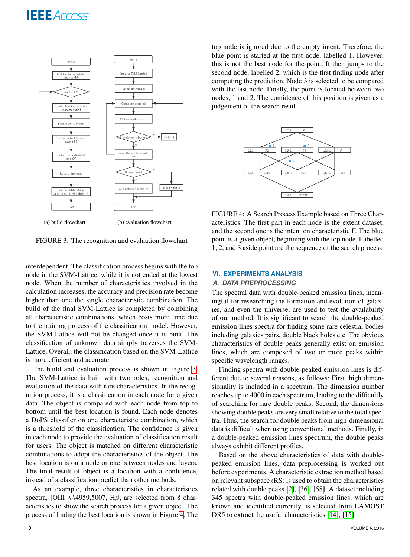

FIGURE 3: The recognition and evaluation flowchart

interdependent. The classification process begins with the top node in the SVM-Lattice, while it is not ended at the lowest node. When the number of characteristics involved in the calculation increases, the accuracy and precision rate become higher than one the single characteristic combination. The build of the final SVM-Lattice is completed by combining all characteristic combinations, which costs more time due to the training process of the classification model. However, the SVM-Lattice will not be changed once it is built. The classification of unknown data simply traverses the SVM-Lattice. Overall, the classification based on the SVM-Lattice is more efficient and accurate.

The build and evaluation process is shown in Figure [3.](#page-9-1) The SVM-Lattice is built with two roles, recognition and evaluation of the data with rare characteristics. In the recognition process, it is a classification in each node for a given data. The object is compared with each node from top to bottom until the best location is found. Each node denotes a DoPS classifier on one characteristic combination, which is a threshold of the classification. The confidence is given in each node to provide the evaluation of classification result for users. The object is matched on different characteristic combinations to adopt the characteristics of the object. The best location is on a node or one between nodes and layers. The final result of object is a location with a confidence, instead of a classification predict than other methods.

As an example, three characteristics in characteristics spectra, [OIII] $\lambda\lambda$ 4959,5007, H $\beta$ , are selected from 8 characteristics to show the search process for a given object. The process of finding the best location is shown in Figure [4.](#page-9-2) The

top node is ignored due to the empty intent. Therefore, the blue point is started at the first node, labelled 1. However, this is not the best node for the point. It then jumps to the second node, labelled 2, which is the first finding node after computing the prediction. Node 3 is selected to be compared with the last node. Finally, the point is located between two nodes, 1 and 2. The confidence of this position is given as a judgement of the search result.

<span id="page-9-2"></span>

<span id="page-9-1"></span>FIGURE 4: A Search Process Example based on Three Characteristics. The first part in each node is the extent dataset, and the second one is the intent on characteristic F. The blue point is a given object, beginning with the top node. Labelled 1, 2, and 3 aside point are the sequence of the search process.

#### <span id="page-9-0"></span>**VI. EXPERIMENTS ANALYSIS**

# *A. DATA PREPROCESSING*

The spectral data with double-peaked emission lines, meaningful for researching the formation and evolution of galaxies, and even the universe, are used to test the availability of our method. It is significant to search the double-peaked emission lines spectra for finding some rare celestial bodies including galaxies pairs, double black holes etc. The obvious characteristics of double peaks generally exist on emission lines, which are composed of two or more peaks within specific wavelength ranges.

Finding spectra with double-peaked emission lines is different due to several reasons, as follows: First, high dimensionality is included in a spectrum. The dimension number reaches up to 4000 in each spectrum, leading to the difficultly of searching for rare double peaks. Second, the dimensions showing double peaks are very small relative to the total spectra. Thus, the search for double peaks from high-dimensional data is difficult when using conventional methods. Finally, in a double-peaked emission lines spectrum, the double peaks always exhibit different profiles.

Based on the above characteristics of data with doublepeaked emission lines, data preprocessing is worked out before experiments. A characteristic extraction method based on relevant subspace (RS) is used to obtain the characteristics related with double peaks [\[2\]](#page-16-0), [\[36\]](#page-17-27), [\[58\]](#page-18-8). A dataset including 345 spectra with double-peaked emission lines, which are known and identified currently, is selected from LAMOST DR5 to extract the useful characteristics [\[14\]](#page-17-7), [\[15\]](#page-17-8).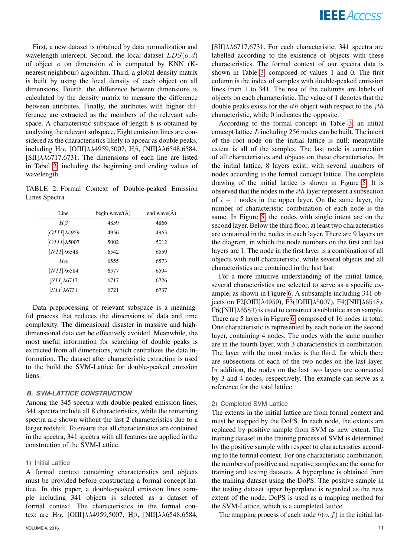First, a new dataset is obtained by data normalization and wavelength intercept. Second, the local dataset  $LDS(o, d)$ of object  $o$  on dimension  $d$  is computed by KNN (Knearest neighbour) algorithm. Third, a global density matrix is built by using the local density of each object on all dimensions. Fourth, the difference between dimensions is calculated by the density matrix to measure the difference between attributes. Finally, the attributes with higher difference are extracted as the members of the relevant subspace. A characteristic subspace of length 8 is obtained by analysing the relevant subspace. Eight emission lines are considered as the characteristics likely to appear as double peaks, including H $\alpha$ , [OIII] $\lambda\lambda$ 4959,5007, H $\beta$ , [NII] $\lambda\lambda$ 6548,6584,  $\text{[SII]}\lambda\lambda$ 6717,6731. The dimensions of each line are listed in Tabel [2,](#page-10-0) including the beginning and ending values of wavelength.

<span id="page-10-0"></span>TABLE 2: Formal Context of Double-peaked Emission Lines Spectra

| Line                 | begin wave/ $(\AA)$ | end wave $(A)$ |
|----------------------|---------------------|----------------|
| $H\beta$             | 4859                | 4866           |
| $[OIII]\lambda 4959$ | 4956                | 4963           |
| $[OIII]\lambda 5007$ | 5002                | 5012           |
| $[NII]\lambda 6548$  | 6542                | 6559           |
| $H\alpha$            | 6555                | 6573           |
| $[NII]\lambda 6584$  | 6577                | 6594           |
| $[SII]\lambda 6717$  | 6717                | 6726           |
| $[SII]\lambda 6731$  | 6721                | 6737           |

Data preprocessing of relevant subspace is a meaningful process that reduces the dimensions of data and time complexity. The dimensional disaster in massive and highdimensional data can be effectively avoided. Meanwhile, the most useful information for searching of double peaks is extracted from all dimensions, which centralizes the data information. The dataset after characteristic extraction is used to the build the SVM-Lattice for double-peaked emission liens.

# *B. SVM-LATTICE CONSTRUCTION*

Among the 345 spectra with double-peaked emission lines, 341 spectra include all 8 characteristics, while the remaining spectra are shown without the last 2 characteristics due to a larger redshift. To ensure that all characteristics are contained in the spectra, 341 spectra with all features are applied in the construction of the SVM-Lattice.

# 1) Initial Lattice

A formal context containing characteristics and objects must be provided before constructing a formal concept lattice. In this paper, a double-peaked emission lines sample including 341 objects is selected as a dataset of formal context. The characteristics in the formal context are H $\alpha$ , [OIII] $\lambda\lambda$ 4959,5007, H $\beta$ , [NII] $\lambda\lambda$ 6548,6584,

 $[SII]\lambda\lambda$ 6717,6731. For each characteristic, 341 spectra are labelled according to the existence of objects with these characteristics. The formal context of our spectra data is shown in Table [3,](#page-11-0) composed of values 1 and 0. The first column is the index of samples with double-peaked emission lines from 1 to 341. The rest of the columns are labels of objects on each characteristic. The value of 1 denotes that the double peaks exists for the  $ith$  object with respect to the  $jth$ characteristic, while 0 indicates the opposite.

According to the formal concept in Table [3,](#page-11-0) an initial concept lattice  $L$  including 256 nodes can be built. The intent of the root node on the initial lattice is null; meanwhile extent is all of the samples. The last node is connection of all characteristics and objects on these characteristics. In the initial lattice, 8 layers exist, with several numbers of nodes according to the formal concept lattice. The complete drawing of the initial lattice is shown in Figure [5.](#page-12-0) It is observed that the nodes in the  $ith$  layer represent a subsection of  $i - 1$  nodes in the upper layer. On the same layer, the number of characteristic combination of each node is the same. In Figure [5,](#page-12-0) the nodes with single intent are on the second layer. Below the third floor, at least two characteristics are contained in the nodes in each layer. There are 9 layers on the diagram, in which the node numbers on the first and last layers are 1. The node in the first layer is a combination of all objects with null characteristic, while several objects and all characteristics are contained in the last last.

For a more intuitive understanding of the initial lattice, several characteristics are selected to serve as a specific example, as shown in Figure [6.](#page-13-0) A subsample including 341 objects on F2[OIII]λ4959), F3([OIII]λ5007), F4([NII]λ6548),  $F6([NII]\lambda 6584)$  is used to construct a sublattice as an sample. There are 5 layers in Figure [6,](#page-13-0) composed of 16 nodes in total. One characteristic is represented by each node on the second layer, containing 4 nodes. The nodes with the same number are in the fourth layer, with 3 characteristics in combination. The layer with the most nodes is the third, for which there are subsections of each of the two nodes on the last layer. In addition, the nodes on the last two layers are connected by 3 and 4 nodes, respectively. The example can serve as a reference for the total lattice.

# 2) Completed SVM-Lattice

The extents in the initial lattice are from formal context and must be mapped by the DoPS. In each node, the extents are replaced by positive sample from SVM as new extent. The training dataset in the training process of SVM is determined by the positive sample with respect to characteristics according to the formal context. For one characteristic combination, the numbers of positive and negative samples are the same for training and testing datasets. A hyperplane is obtained from the training dataset using the DoPS. The positive sample in the testing dataset upper hyperplane is regarded as the new extent of the node. DoPS is used as a mapping method for the SVM-Lattice, which is a completed lattice.

The mapping process of each node  $h(o, f)$  in the initial lat-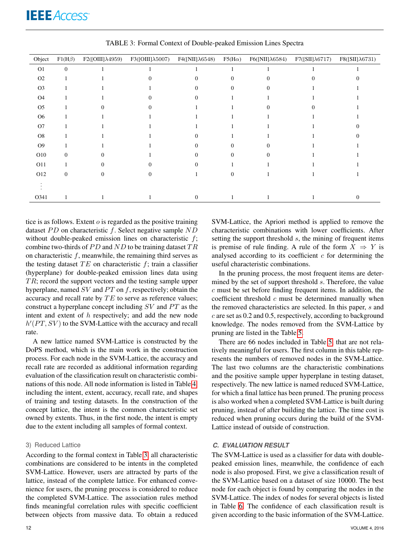<span id="page-11-0"></span>

| Object         | $F1(H\beta)$ | $F2([OIII]\lambda4959)$ | $F3([OIII]\lambda5007)$ | $F4([NII]\lambda 6548)$ | $F5(H\alpha)$ | $F6([NII]\lambda 6584)$ | $F7([SII]\lambda 6717)$ | $F8([SII]\lambda6731)$ |
|----------------|--------------|-------------------------|-------------------------|-------------------------|---------------|-------------------------|-------------------------|------------------------|
| O <sub>1</sub> | $\mathbf{0}$ |                         |                         |                         |               |                         |                         |                        |
| O <sub>2</sub> |              |                         |                         |                         | $\Omega$      |                         |                         |                        |
| O <sub>3</sub> |              |                         |                         |                         | $\mathbf{0}$  |                         |                         |                        |
| <b>O4</b>      |              |                         |                         |                         |               |                         |                         |                        |
| O <sub>5</sub> |              |                         |                         |                         |               |                         |                         |                        |
| O <sub>6</sub> |              |                         |                         |                         |               |                         |                         |                        |
| O <sub>7</sub> |              |                         |                         |                         |               |                         |                         |                        |
| O <sub>8</sub> |              |                         |                         |                         |               |                         |                         |                        |
| O <sub>9</sub> |              |                         |                         |                         | $\Omega$      |                         |                         |                        |
| O10            | $\Omega$     |                         |                         |                         | $\Omega$      |                         |                         |                        |
| O11            |              |                         | $\Omega$                |                         |               |                         |                         |                        |
| O12            | $\mathbf{0}$ |                         |                         |                         | $\Omega$      |                         |                         |                        |
|                |              |                         |                         |                         |               |                         |                         |                        |
| O341           |              |                         |                         | $\Omega$                |               |                         |                         |                        |

TABLE 3: Formal Context of Double-peaked Emission Lines Spectra

tice is as follows. Extent  $o$  is regarded as the positive training dataset  $PD$  on characteristic f. Select negative sample  $ND$ without double-peaked emission lines on characteristic  $f$ ; combine two-thirds of  $PD$  and  $ND$  to be training dataset  $TR$ on characteristic  $f$ , meanwhile, the remaining third serves as the testing dataset  $TE$  on characteristic  $f$ ; train a classifier (hyperplane) for double-peaked emission lines data using  $TR$ ; record the support vectors and the testing sample upper hyperplane, named  $SV$  and  $PT$  on  $f$ , respectively; obtain the accuracy and recall rate by  $TE$  to serve as reference values; construct a hyperplane concept including  $SV$  and  $PT$  as the intent and extent of  $h$  respectively; and add the new node  $h'(PT, SV)$  to the SVM-Lattice with the accuracy and recall rate.

A new lattice named SVM-Lattice is constructed by the DoPS method, which is the main work in the construction process. For each node in the SVM-Lattice, the accuracy and recall rate are recorded as additional information regarding evaluation of the classification result on characteristic combinations of this node. All node information is listed in Table [4,](#page-13-1) including the intent, extent, accuracy, recall rate, and shapes of training and testing datasets. In the construction of the concept lattice, the intent is the common characteristic set owned by extents. Thus, in the first node, the intent is empty due to the extent including all samples of formal context.

#### 3) Reduced Lattice

According to the formal context in Table [3,](#page-11-0) all characteristic combinations are considered to be intents in the completed SVM-Lattice. However, users are attracted by parts of the lattice, instead of the complete lattice. For enhanced convenience for users, the pruning process is considered to reduce the completed SVM-Lattice. The association rules method finds meaningful correlation rules with specific coefficient between objects from massive data. To obtain a reduced

SVM-Lattice, the Apriori method is applied to remove the characteristic combinations with lower coefficients. After setting the support threshold  $s$ , the mining of frequent items is premise of rule finding. A rule of the form  $X \Rightarrow Y$  is analysed according to its coefficient  $c$  for determining the useful characteristic combinations.

In the pruning process, the most frequent items are determined by the set of support threshold s. Therefore, the value  $c$  must be set before finding frequent items. In addition, the coefficient threshold  $c$  must be determined manually when the removed characteristics are selected. In this paper, s and c are set as 0.2 and 0.5, respectively, according to background knowledge. The nodes removed from the SVM-Lattice by pruning are listed in the Table [5.](#page-14-0)

There are 66 nodes included in Table [5,](#page-14-0) that are not relatively meaningful for users. The first column in this table represents the numbers of removed nodes in the SVM-Lattice. The last two columns are the characteristic combinations and the positive sample upper hyperplane in testing dataset, respectively. The new lattice is named reduced SVM-Lattice, for which a final lattice has been pruned. The pruning process is also worked when a completed SVM-Lattice is built during pruning, instead of after building the lattice. The time cost is reduced when pruning occurs during the build of the SVM-Lattice instead of outside of construction.

# *C. EVALUATION RESULT*

The SVM-Lattice is used as a classifier for data with doublepeaked emission lines, meanwhile, the confidence of each node is also proposed. First, we give a classification result of the SVM-Lattice based on a dataset of size 10000. The best node for each object is found by comparing the nodes in the SVM-Lattice. The index of nodes for several objects is listed in Table [6.](#page-14-1) The confidence of each classification result is given according to the basic information of the SVM-Lattice.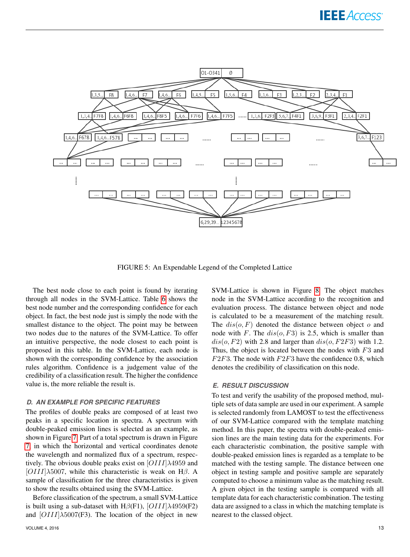

FIGURE 5: An Expendable Legend of the Completed Lattice

The best node close to each point is found by iterating through all nodes in the SVM-Lattice. Table [6](#page-14-1) shows the best node number and the corresponding confidence for each object. In fact, the best node just is simply the node with the smallest distance to the object. The point may be between two nodes due to the natures of the SVM-Lattice. To offer an intuitive perspective, the node closest to each point is proposed in this table. In the SVM-Lattice, each node is shown with the corresponding confidence by the association rules algorithm. Confidence is a judgement value of the credibility of a classification result. The higher the confidence value is, the more reliable the result is.

# *D. AN EXAMPLE FOR SPECIFIC FEATURES*

The profiles of double peaks are composed of at least two peaks in a specific location in spectra. A spectrum with double-peaked emission lines is selected as an example, as shown in Figure [7.](#page-13-2) Part of a total spectrum is drawn in Figure [7,](#page-13-2) in which the horizontal and vertical coordinates denote the wavelength and normalized flux of a spectrum, respectively. The obvious double peaks exist on  $[OIII]\lambda 4959$  and  $[OIII]\lambda5007$ , while this characteristic is weak on H $\beta$ . A sample of classification for the three characteristics is given to show the results obtained using the SVM-Lattice.

Before classification of the spectrum, a small SVM-Lattice is built using a sub-dataset with H $\beta$ (F1), [OIII] $\lambda$ 4959(F2) and  $[OIII]\lambda5007(F3)$ . The location of the object in new

<span id="page-12-0"></span>SVM-Lattice is shown in Figure [8.](#page-14-2) The object matches node in the SVM-Lattice according to the recognition and evaluation process. The distance between object and node is calculated to be a measurement of the matching result. The  $dis(o, F)$  denoted the distance between object o and node with F. The  $dis(o, F3)$  is 2.5, which is smaller than  $dis(o, F2)$  with 2.8 and larger than  $dis(o, F2F3)$  with 1.2. Thus, the object is located between the nodes with  $F3$  and  $F2F3$ . The node with  $F2F3$  have the confidence 0.8, which denotes the credibility of classification on this node.

#### *E. RESULT DISCUSSION*

To test and verify the usability of the proposed method, multiple sets of data sample are used in our experiment. A sample is selected randomly from LAMOST to test the effectiveness of our SVM-Lattice compared with the template matching method. In this paper, the spectra with double-peaked emission lines are the main testing data for the experiments. For each characteristic combination, the positive sample with double-peaked emission lines is regarded as a template to be matched with the testing sample. The distance between one object in testing sample and positive sample are separately computed to choose a minimum value as the matching result. A given object in the testing sample is compared with all template data for each characteristic combination. The testing data are assigned to a class in which the matching template is nearest to the classed object.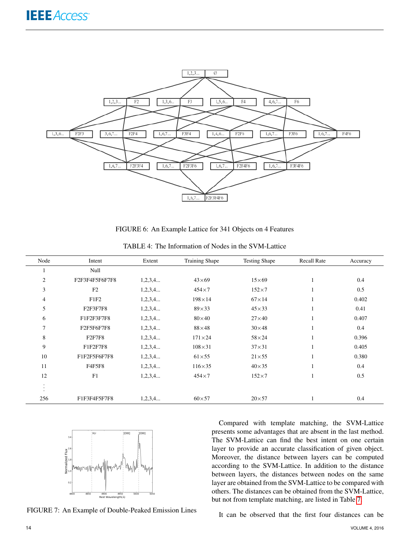

FIGURE 6: An Example Lattice for 341 Objects on 4 Features

<span id="page-13-1"></span>

| Node                 | Intent           | Extent  | <b>Training Shape</b> | <b>Testing Shape</b> | <b>Recall Rate</b> | Accuracy |
|----------------------|------------------|---------|-----------------------|----------------------|--------------------|----------|
|                      | Null             |         |                       |                      |                    |          |
| $\mathfrak{2}$       | F2F3F4F5F6F7F8   | 1,2,3,4 | $43\times 69$         | $15\times 69$        | 1                  | 0.4      |
| 3                    | F2               | 1,2,3,4 | $454\times7$          | $152\times7$         | 1                  | 0.5      |
| 4                    | F <sub>1F2</sub> | 1,2,3,4 | $198\times14$         | $67\times14$         |                    | 0.402    |
| 5                    | F2F3F7F8         | 1,2,3,4 | $89\times33$          | $45\times33$         | 1                  | 0.41     |
| 6                    | F1F2F3F7F8       | 1,2,3,4 | $80\times40$          | $27\times 40$        |                    | 0.407    |
| 7                    | F2F5F6F7F8       | 1,2,3,4 | $88\times48$          | $30\times48$         | 1                  | 0.4      |
| 8                    | <b>F2F7F8</b>    | 1,2,3,4 | $171\times24$         | $58\times24$         | 1                  | 0.396    |
| 9                    | F1F2F7F8         | 1,2,3,4 | $108\times31$         | $37\times31$         |                    | 0.405    |
| 10                   | F1F2F5F6F7F8     | 1,2,3,4 | $61\times55$          | $21\times 55$        |                    | 0.380    |
| 11                   | <b>F4F5F8</b>    | 1,2,3,4 | $116\times35$         | $40\times35$         |                    | 0.4      |
| 12                   | F1               | 1,2,3,4 | $454\times7$          | $152\times7$         |                    | 0.5      |
| $\cdot$<br>$\bullet$ |                  |         |                       |                      |                    |          |
| 256                  | F1F3F4F5F7F8     | 1,2,3,4 | $60\times57$          | $20\times57$         |                    | 0.4      |

<span id="page-13-0"></span>TABLE 4: The Information of Nodes in the SVM-Lattice



FIGURE 7: An Example of Double-Peaked Emission Lines

Compared with template matching, the SVM-Lattice presents some advantages that are absent in the last method. The SVM-Lattice can find the best intent on one certain layer to provide an accurate classification of given object. Moreover, the distance between layers can be computed according to the SVM-Lattice. In addition to the distance between layers, the distances between nodes on the same layer are obtained from the SVM-Lattice to be compared with others. The distances can be obtained from the SVM-Lattice, but not from template matching, are listed in Table [7.](#page-14-3)

<span id="page-13-2"></span>It can be observed that the first four distances can be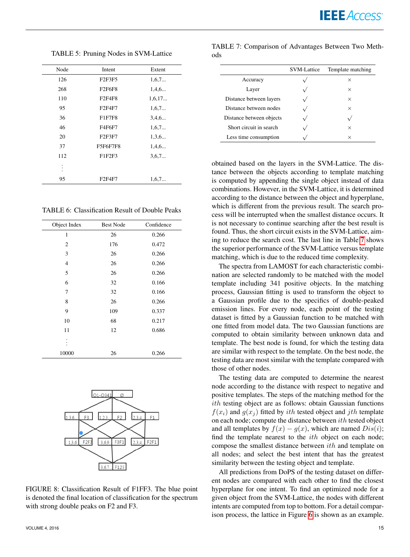×

<span id="page-14-0"></span>Node Intent Extent 126 F2F3F5 1,6,7... 268 F2F6F8 1,4,6... 110 **F2F4F8** 1,6,17... 95 **F2F4F7** 1,6,7... 36 F1F7F8 3,4,6... 46 F4F6F7 1,6,7... 20 **F2F3F7** 1,3,6... 37 F5F6F7F8 1,4,6... 112 **F1F2F3** 3,6,7... . . . 95 **F2F4F7** 1.6.7...

TABLE 5: Pruning Nodes in SVM-Lattice

<span id="page-14-1"></span>TABLE 6: Classification Result of Double Peaks

| Object Index | <b>Best Node</b> | Confidence |
|--------------|------------------|------------|
| 1            | 26               | 0.266      |
| 2            | 176              | 0.472      |
| 3            | 26               | 0.266      |
| 4            | 26               | 0.266      |
| 5            | 26               | 0.266      |
| 6            | 32               | 0.166      |
| 7            | 32               | 0.166      |
| 8            | 26               | 0.266      |
| 9            | 109              | 0.337      |
| 10           | 68               | 0.217      |
| 11           | 12               | 0.686      |
|              |                  |            |
| 10000        | 26               | 0.266      |



FIGURE 8: Classification Result of F1FF3. The blue point is denoted the final location of classification for the spectrum with strong double peaks on F2 and F3.

|                          | <b>SVM-Lattice</b> | Template matching |
|--------------------------|--------------------|-------------------|
| Accuracy                 |                    | ×                 |
| Layer                    |                    | X                 |
| Distance between layers  |                    | $\times$          |
| Distance between nodes   |                    | $\times$          |
| Distance between objects |                    |                   |
| Short circuit in search  |                    | ×                 |

<span id="page-14-3"></span>TABLE 7: Comparison of Advantages Between Two Meth-

ods

Less time consumption

obtained based on the layers in the SVM-Lattice. The distance between the objects according to template matching is computed by appending the single object instead of data combinations. However, in the SVM-Lattice, it is determined according to the distance between the object and hyperplane, which is different from the previous result. The search process will be interrupted when the smallest distance occurs. It is not necessary to continue searching after the best result is found. Thus, the short circuit exists in the SVM-Lattice, aiming to reduce the search cost. The last line in Table [7](#page-14-3) shows the superior performance of the SVM-Lattice versus template matching, which is due to the reduced time complexity.

The spectra from LAMOST for each characteristic combination are selected randomly to be matched with the model template including 341 positive objects. In the matching process, Gaussian fitting is used to transform the object to a Gaussian profile due to the specifics of double-peaked emission lines. For every node, each point of the testing dataset is fitted by a Gaussian function to be matched with one fitted from model data. The two Gaussian functions are computed to obtain similarity between unknown data and template. The best node is found, for which the testing data are similar with respect to the template. On the best node, the testing data are most similar with the template compared with those of other nodes.

The testing data are computed to determine the nearest node according to the distance with respect to negative and positive templates. The steps of the matching method for the ith testing object are as follows: obtain Gaussian functions  $f(x_i)$  and  $g(x_j)$  fitted by *ith* tested object and *jth* template on each node; compute the distance between  $ith$  tested object and all templates by  $f(x) - g(x)$ , which are named  $Dis(i)$ ; find the template nearest to the  $ith$  object on each node; compose the smallest distance between ith and template on all nodes; and select the best intent that has the greatest similarity between the testing object and template.

<span id="page-14-2"></span>All predictions from DoPS of the testing dataset on different nodes are compared with each other to find the closest hyperplane for one intent. To find an optimized node for a given object from the SVM-Lattice, the nodes with different intents are computed from top to bottom. For a detail comparison process, the lattice in Figure [6](#page-13-0) is shown as an example.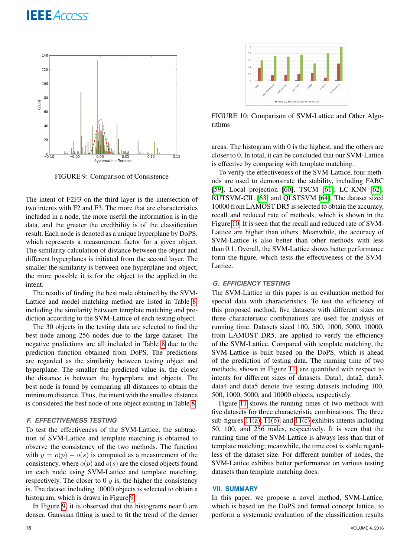

FIGURE 9: Comparison of Consistence

The intent of F2F3 on the third layer is the intersection of two intents with F2 and F3. The more that are characteristics included in a node, the more useful the information is in the data, and the greater the credibility is of the classification result. Each node is denoted as a unique hyperplane by DoPS, which represents a measurement factor for a given object. The similarity calculation of distance between the object and different hyperplanes is initiated from the second layer. The smaller the similarity is between one hyperplane and object, the more possible it is for the object to the applied in the intent.

The results of finding the best node obtained by the SVM-Lattice and model matching method are listed in Table [8,](#page-16-6) including the similarity between template matching and prediction according to the SVM-Lattice of each testing object.

The 30 objects in the testing data are selected to find the best node among 256 nodes due to the large dataset. The negative predictions are all included in Table [8](#page-16-6) due to the prediction function obtained from DoPS. The predictions are regarded as the similarity between testing object and hyperplane. The smaller the predicted value is, the closer the distance is between the hyperplane and objects. The best node is found by comparing all distances to obtain the minimum distance. Thus, the intent with the smallest distance is considered the best node of one object existing in Table [8.](#page-16-6)

# *F. EFFECTIVENESS TESTING*

To test the effectiveness of the SVM-Lattice, the subtraction of SVM-Lattice and template matching is obtained to observe the consistency of the two methods. The function with  $y = o(p) - o(s)$  is computed as a measurement of the consistency, where  $o(p)$  and  $o(s)$  are the closed objects found on each node using SVM-Lattice and template matching, respectively. The closer to 0  $y$  is, the higher the consistency is. The dataset including 10000 objects is selected to obtain a histogram, which is drawn in Figure [9.](#page-15-1)

In Figure [9,](#page-15-1) it is observed that the histograms near 0 are denser. Gaussian fitting is used to fit the trend of the denser

<span id="page-15-2"></span>

FIGURE 10: Comparison of SVM-Lattice and Other Algorithms

areas. The histogram with 0 is the highest, and the others are closer to 0. In total, it can be concluded that our SVM-Lattice is effective by comparing with template matching.

<span id="page-15-1"></span>To verify the effectiveness of the SVM-Lattice, four methods are used to demonstrate the stability, including FABC [\[59\]](#page-18-9), Local projection [\[60\]](#page-18-10), TSCM [\[61\]](#page-18-11), LC-KNN [\[62\]](#page-18-12), RUTSVM-CIL [\[63\]](#page-18-13) and QLSTSVM [\[64\]](#page-18-14). The dataset sized 10000 from LAMOST DR5 is selected to obtain the accuracy, recall and reduced rate of methods, which is shown in the Figure [10.](#page-15-2) It is seen that the recall and reduced rate of SVM-Lattice are higher than others. Meanwhile, the accuracy of SVM-Lattice is also better than other methods with less than 0.1. Overall, the SVM-Lattice shows better performance form the figure, which tests the effectiveness of the SVM-Lattice.

#### *G. EFFICIENCY TESTING*

The SVM-Lattice in this paper is an evaluation method for special data with characteristics. To test the efficiency of this proposed method, five datasets with different sizes on three characteristic combinations are used for analysis of running time. Datasets sized 100, 500, 1000, 5000, 10000, from LAMOST DR5, are applied to verify the efficiency of the SVM-Lattice. Compared with template matching, the SVM-Lattice is built based on the DoPS, which is ahead of the prediction of testing data. The running time of two methods, shown in Figure [11,](#page-16-7) are quantified with respect to intents for different sizes of datasets. Data1, data2, data3, data4 and data5 denote five testing datasets including 100, 500, 1000, 5000, and 10000 objects, respectively.

Figure [11](#page-16-7) shows the running times of two methods with five datasets for three characteristic combinations. The three sub-figures [11\(a\),](#page-16-8) [11\(b\),](#page-16-9) and [11\(c\)](#page-16-10) exhibits intents including 50, 100, and 256 nodes, respectively. It is seen that the running time of the SVM-Lattice is always less than that of template matching; meanwhile, the time cost is stable regardless of the dataset size. For different number of nodes, the SVM-Lattice exhibits better performance on various testing datasets than template matching does.

#### <span id="page-15-0"></span>**VII. SUMMARY**

In this paper, we propose a novel method, SVM-Lattice, which is based on the DoPS and formal concept lattice, to perform a systematic evaluation of the classification results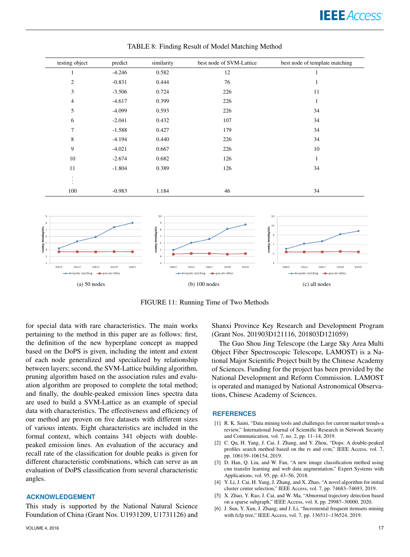# **IEEE** Access<sup>®</sup>

<span id="page-16-6"></span>

| testing object                    | predict  | similarity | best node of SVM-Lattice | best node of template matching |
|-----------------------------------|----------|------------|--------------------------|--------------------------------|
| $\mathbf{1}$                      | $-4.246$ | 0.582      | 12                       | 1                              |
| 2                                 | $-0.831$ | 0.444      | 76                       | $\mathbf{1}$                   |
| 3                                 | $-3.506$ | 0.724      | 226                      | 11                             |
| $\overline{4}$                    | $-4.617$ | 0.399      | 226                      | $\mathbf{1}$                   |
| 5                                 | $-4.099$ | 0.593      | 226                      | 34                             |
| 6                                 | $-2.041$ | 0.432      | 107                      | 34                             |
| $\overline{7}$                    | $-1.588$ | 0.427      | 179                      | 34                             |
| 8                                 | $-4.194$ | 0.440      | 226                      | 34                             |
| 9                                 | $-4.021$ | 0.667      | 226                      | 10                             |
| 10                                | $-2.674$ | 0.682      | 126                      | $\mathbf{1}$                   |
| 11                                | $-1.804$ | 0.389      | 126                      | 34                             |
| $\bullet$<br>$\bullet$<br>$\cdot$ |          |            |                          |                                |
| 100                               | $-0.983$ | 1.184      | 46                       | 34                             |

TABLE 8: Finding Result of Model Matching Method

<span id="page-16-8"></span>

<span id="page-16-9"></span>FIGURE 11: Running Time of Two Methods

for special data with rare characteristics. The main works pertaining to the method in this paper are as follows: first, the definition of the new hyperplane concept as mapped based on the DoPS is given, including the intent and extent of each node generalized and specialized by relationship between layers; second, the SVM-Lattice building algorithm, pruning algorithm based on the association rules and evaluation algorithm are proposed to complete the total method; and finally, the double-peaked emission lines spectra data are used to build a SVM-Lattice as an example of special data with characteristics. The effectiveness and efficiency of our method are proven on five datasets with different sizes of various intents. Eight characteristics are included in the formal context, which contains 341 objects with doublepeaked emission lines. An evaluation of the accuracy and recall rate of the classification for double peaks is given for different characteristic combinations, which can serve as an evaluation of DoPS classification from several characteristic angles.

#### **ACKNOWLEDGEMENT**

This study is supported by the National Natural Science Foundation of China (Grant Nos. U1931209, U1731126) and <span id="page-16-10"></span><span id="page-16-7"></span>Shanxi Province Key Research and Development Program (Grant Nos. 201903D121116, 201803D121059)

The Guo Shou Jing Telescope (the Large Sky Area Multi Object Fiber Spectroscopic Telescope, LAMOST) is a National Major Scientific Project built by the Chinese Academy of Sciences. Funding for the project has been provided by the National Development and Reform Commission. LAMOST is operated and managed by National Astronomical Observations, Chinese Academy of Sciences.

#### **REFERENCES**

- <span id="page-16-1"></span>[1] R. K. Saini, "Data mining tools and challenges for current market trends-a review," International Journal of Scientific Research in Network Security and Communication, vol. 7, no. 2, pp. 11–14, 2019.
- <span id="page-16-0"></span>[2] C. Qu, H. Yang, J. Cai, J. Zhang, and Y. Zhou, "Dops: A double-peaked profiles search method based on the rs and svm," IEEE Access, vol. 7, pp. 106139–106154, 2019.
- <span id="page-16-2"></span>[3] D. Han, Q. Liu, and W. Fan, "A new image classification method using cnn transfer learning and web data augmentation," Expert Systems with Applications, vol. 95, pp. 43–56, 2018.
- <span id="page-16-3"></span>[4] Y. Li, J. Cai, H. Yang, J. Zhang, and X. Zhao, "A novel algorithm for initial cluster center selection," IEEE Access, vol. 7, pp. 74683–74693, 2019.
- <span id="page-16-4"></span>[5] X. Zhao, Y. Rao, J. Cai, and W. Ma, "Abnormal trajectory detection based on a sparse subgraph," IEEE Access, vol. 8, pp. 29987–30000, 2020.
- <span id="page-16-5"></span>[6] J. Sun, Y. Xun, J. Zhang, and J. Li, "Incremental frequent itemsets mining with fcfp tree," IEEE Access, vol. 7, pp. 136511–136524, 2019.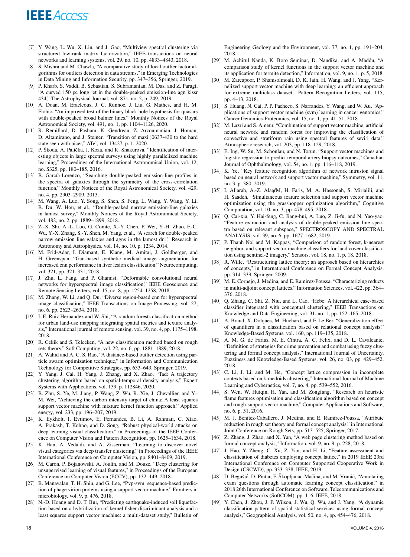- <span id="page-17-0"></span>[7] Y. Wang, L. Wu, X. Lin, and J. Gao, "Multiview spectral clustering via structured low-rank matrix factorization," IEEE transactions on neural networks and learning systems, vol. 29, no. 10, pp. 4833–4843, 2018.
- <span id="page-17-1"></span>[8] S. Mishra and M. Chawla, "A comparative study of local outlier factor algorithms for outliers detection in data streams," in Emerging Technologies in Data Mining and Information Security, pp. 347–356, Springer, 2019.
- <span id="page-17-2"></span>[9] P. Kharb, S. Vaddi, B. Sebastian, S. Subramanian, M. Das, and Z. Paragi, "A curved 150 pc long jet in the double-peaked emission-line agn kissr 434," The Astrophysical Journal, vol. 871, no. 2, p. 249, 2019.
- <span id="page-17-3"></span>[10] A. Doan, M. Eracleous, J. C. Runnoe, J. Liu, G. Mathes, and H. M. Flohic, "An improved test of the binary black hole hypothesis for quasars with double-peaked broad balmer lines," Monthly Notices of the Royal Astronomical Society, vol. 491, no. 1, pp. 1104–1126, 2020.
- <span id="page-17-4"></span>[11] R. Remillard, D. Pasham, K. Gendreau, Z. Arzoumanian, J. Homan, D. Altamirano, and J. Steiner, "Transition of maxi j0637-430 to the hard state seen with nicer," ATel, vol. 13427, p. 1, 2020.
- <span id="page-17-5"></span>[12] P. Škoda, A. Palička, J. Koza, and K. Shakurova, "Identification of interesting objects in large spectral surveys using highly parallelized machine learning," Proceedings of the International Astronomical Union, vol. 12, no. S325, pp. 180–185, 2016.
- <span id="page-17-6"></span>[13] B. García-Lorenzo, "Searching double-peaked emission-line profiles in the spectra of galaxies through the symmetry of the cross-correlation function," Monthly Notices of the Royal Astronomical Society, vol. 429, no. 4, pp. 2903–2909, 2013.
- <span id="page-17-7"></span>[14] M. Wang, A. Luo, Y. Song, S. Shen, S. Feng, L. Wang, Y. Wang, Y. Li, B. Du, W. Hou, et al., "Double-peaked narrow emission-line galaxies in lamost survey," Monthly Notices of the Royal Astronomical Society, vol. 482, no. 2, pp. 1889–1899, 2018.
- <span id="page-17-8"></span>[15] Z.-X. Shi, A.-L. Luo, G. Comte, X.-Y. Chen, P. Wei, Y.-H. Zhao, F.-C. Wu, Y.-X. Zhang, S.-Y. Shen, M. Yang, et al., "A search for double-peaked narrow emission line galaxies and agns in the lamost dr1," Research in Astronomy and Astrophysics, vol. 14, no. 10, p. 1234, 2014.
- <span id="page-17-9"></span>[16] M. Frid-Adar, I. Diamant, E. Klang, M. Amitai, J. Goldberger, and H. Greenspan, "Gan-based synthetic medical image augmentation for increased cnn performance in liver lesion classification," Neurocomputing, vol. 321, pp. 321–331, 2018.
- [17] J. Zhu, L. Fang, and P. Ghamisi, "Deformable convolutional neural networks for hyperspectral image classification," IEEE Geoscience and Remote Sensing Letters, vol. 15, no. 8, pp. 1254–1258, 2018.
- <span id="page-17-10"></span>[18] M. Zhang, W. Li, and Q. Du, "Diverse region-based cnn for hyperspectral image classification," IEEE Transactions on Image Processing, vol. 27, no. 6, pp. 2623–2634, 2018.
- <span id="page-17-11"></span>[19] I. E. Ruiz Hernandez and W. Shi, "A random forests classification method for urban land-use mapping integrating spatial metrics and texture analysis," International journal of remote sensing, vol. 39, no. 4, pp. 1175–1198, 2018.
- <span id="page-17-12"></span>[20] R. Cekik and S. Telceken, "A new classification method based on rough sets theory," Soft Computing, vol. 22, no. 6, pp. 1881–1889, 2018.
- <span id="page-17-13"></span>[21] A. Wahid and A. C. S. Rao, "A distance-based outlier detection using particle swarm optimization technique," in Information and Communication Technology for Competitive Strategies, pp. 633–643, Springer, 2019.
- <span id="page-17-14"></span>[22] Y. Yang, J. Cai, H. Yang, J. Zhang, and X. Zhao, "Tad: A trajectory clustering algorithm based on spatial-temporal density analysis," Expert Systems with Applications, vol. 139, p. 112846, 2020.
- <span id="page-17-15"></span>[23] B. Zhu, S. Ye, M. Jiang, P. Wang, Z. Wu, R. Xie, J. Chevallier, and Y.-M. Wei, "Achieving the carbon intensity target of china: A least squares support vector machine with mixture kernel function approach," Applied energy, vol. 233, pp. 196–207, 2019.
- <span id="page-17-16"></span>[24] K. Eykholt, I. Evtimov, E. Fernandes, B. Li, A. Rahmati, C. Xiao, A. Prakash, T. Kohno, and D. Song, "Robust physical-world attacks on deep learning visual classification," in Proceedings of the IEEE Conference on Computer Vision and Pattern Recognition, pp. 1625–1634, 2018.
- <span id="page-17-17"></span>[25] K. Han, A. Vedaldi, and A. Zisserman, "Learning to discover novel visual categories via deep transfer clustering," in Proceedings of the IEEE International Conference on Computer Vision, pp. 8401–8409, 2019.
- <span id="page-17-18"></span>[26] M. Caron, P. Bojanowski, A. Joulin, and M. Douze, "Deep clustering for unsupervised learning of visual features," in Proceedings of the European Conference on Computer Vision (ECCV), pp. 132–149, 2018.
- <span id="page-17-19"></span>[27] B. Manavalan, T. H. Shin, and G. Lee, "Pvp-svm: sequence-based prediction of phage virion proteins using a support vector machine," Frontiers in microbiology, vol. 9, p. 476, 2018.
- <span id="page-17-20"></span>[28] N.-D. Hoang and D. T. Bui, "Predicting earthquake-induced soil liquefaction based on a hybridization of kernel fisher discriminant analysis and a least squares support vector machine: a multi-dataset study," Bulletin of

Engineering Geology and the Environment, vol. 77, no. 1, pp. 191–204, 2018.

- [29] M. Achirul Nanda, K. Boro Seminar, D. Nandika, and A. Maddu, "A comparison study of kernel functions in the support vector machine and its application for termite detection," Information, vol. 9, no. 1, p. 5, 2018.
- <span id="page-17-21"></span>[30] M. Zareapoor, P. Shamsolmoali, D. K. Jain, H. Wang, and J. Yang, "Kernelized support vector machine with deep learning: an efficient approach for extreme multiclass dataset," Pattern Recognition Letters, vol. 115, pp. 4–13, 2018.
- <span id="page-17-22"></span>[31] S. Huang, N. Cai, P. P. Pacheco, S. Narrandes, Y. Wang, and W. Xu, "Applications of support vector machine (svm) learning in cancer genomics," Cancer Genomics-Proteomics, vol. 15, no. 1, pp. 41–51, 2018.
- <span id="page-17-23"></span>[32] M. Lazri and S. Ameur, "Combination of support vector machine, artificial neural network and random forest for improving the classification of convective and stratiform rain using spectral features of seviri data," Atmospheric research, vol. 203, pp. 118–129, 2018.
- <span id="page-17-24"></span>[33] E. Ing, W. Su, M. Schonlau, and N. Torun, "Support vector machines and logistic regression to predict temporal artery biopsy outcomes," Canadian Journal of Ophthalmology, vol. 54, no. 1, pp. 116–118, 2019.
- <span id="page-17-25"></span>[34] K. Ye, "Key feature recognition algorithm of network intrusion signal based on neural network and support vector machine," Symmetry, vol. 11, no. 3, p. 380, 2019.
- <span id="page-17-26"></span>[35] I. Aljarah, A.-Z. AlaafM, H. Faris, M. A. Hassonah, S. Mirjalili, and H. Saadeh, "Simultaneous feature selection and support vector machine optimization using the grasshopper optimization algorithm," Cognitive Computation, vol. 10, no. 3, pp. 478–495, 2018.
- <span id="page-17-27"></span>[36] Q. Cai-xia, Y. Hai-feng, C. Jiang-hui, A. Luo, Z. Ji-fu, and N. Yao-yao, "Feature extraction and analysis of double-peaked emission line spectra based on relevant subspace," SPECTROSCOPY AND SPECTRAL ANALYSIS, vol. 39, no. 6, pp. 1677–1682, 2019.
- <span id="page-17-28"></span>[37] P. Thanh Noi and M. Kappas, "Comparison of random forest, k-nearest neighbor, and support vector machine classifiers for land cover classification using sentinel-2 imagery," Sensors, vol. 18, no. 1, p. 18, 2018.
- <span id="page-17-29"></span>[38] R. Wille, "Restructuring lattice theory: an approach based on hierarchies of concepts," in International Conference on Formal Concept Analysis, pp. 314–339, Springer, 2009.
- <span id="page-17-30"></span>[39] M. E. Cornejo, J. Medina, and E. Ramírez-Poussa, "Characterizing reducts in multi-adjoint concept lattices," Information Sciences, vol. 422, pp. 364– 376, 2018.
- <span id="page-17-31"></span>[40] Q. Zhang, C. Shi, Z. Niu, and L. Cao, "Hcbc: A hierarchical case-based classifier integrated with conceptual clustering," IEEE Transactions on Knowledge and Data Engineering, vol. 31, no. 1, pp. 152–165, 2018.
- <span id="page-17-32"></span>[41] A. Braud, X. Dolques, M. Huchard, and F. Le Ber, "Generalization effect of quantifiers in a classification based on relational concept analysis," Knowledge-Based Systems, vol. 160, pp. 119–135, 2018.
- <span id="page-17-33"></span>[42] A. M. G. de Farias, M. E. Cintra, A. C. Felix, and D. L. Cavalcante, "Definition of strategies for crime prevention and combat using fuzzy clustering and formal concept analysis," International Journal of Uncertainty, Fuzziness and Knowledge-Based Systems, vol. 26, no. 03, pp. 429–452, 2018.
- <span id="page-17-34"></span>[43] C. Li, J. Li, and M. He, "Concept lattice compression in incomplete contexts based on k-medoids clustering," International Journal of Machine Learning and Cybernetics, vol. 7, no. 4, pp. 539–552, 2016.
- <span id="page-17-35"></span>[44] S. Wen, W. Huiqin, H. Yan, and M. Zongfang, "Research on heuristic flame features optimisation and classification algorithm based on concept and rough-support vector machine," Computer Applications and Software, no. 6, p. 51, 2016.
- <span id="page-17-36"></span>[45] M. J. Benítez-Caballero, J. Medina, and E. Ramírez-Poussa, "Attribute reduction in rough set theory and formal concept analysis," in International Joint Conference on Rough Sets, pp. 513–525, Springer, 2017.
- <span id="page-17-37"></span>[46] Z. Zhang, J. Zhao, and X. Yan, "A web page clustering method based on formal concept analysis," Information, vol. 9, no. 9, p. 228, 2018.
- <span id="page-17-38"></span>[47] J. Hao, Y. Zheng, C. Xu, Z. Yan, and H. Li, "Feature assessment and classification of diabetes employing concept lattice," in 2019 IEEE 23rd International Conference on Computer Supported Cooperative Work in Design (CSCWD), pp. 333–338, IEEE, 2019.
- <span id="page-17-39"></span>[48] D. Begušić, D. Pintar, F. Škopljanac-Mačina, and M. Vranić, "Annotating exam questions through automatic learning concept classification," in 2018 26th International Conference on Software, Telecommunications and Computer Networks (SoftCOM), pp. 1–6, IEEE, 2018.
- <span id="page-17-40"></span>[49] Y. Chen, J. Zhou, J. P. Wilson, J. Wu, Q. Wu, and J. Yang, "A dynamic classification pattern of spatial statistical services using formal concept analysis," Geographical Analysis, vol. 50, no. 4, pp. 454–476, 2018.